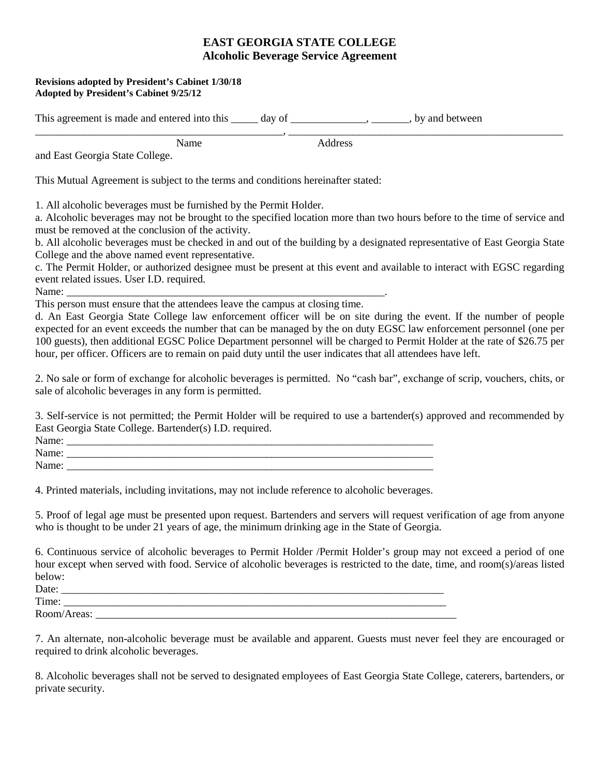## **EAST GEORGIA STATE COLLEGE Alcoholic Beverage Service Agreement**

\_\_\_\_\_\_\_\_\_\_\_\_\_\_\_\_\_\_\_\_\_\_\_\_\_\_\_\_\_\_\_\_\_\_\_\_\_\_\_\_\_\_\_\_\_\_, \_\_\_\_\_\_\_\_\_\_\_\_\_\_\_\_\_\_\_\_\_\_\_\_\_\_\_\_\_\_\_\_\_\_\_\_\_\_\_\_\_\_\_\_\_\_\_\_\_\_\_

## **Revisions adopted by President's Cabinet 1/30/18 Adopted by President's Cabinet 9/25/12**

This agreement is made and entered into this \_\_\_\_\_ day of \_\_\_\_\_\_\_\_\_\_\_\_\_, \_\_\_\_\_\_\_, by and between

 Name Address and East Georgia State College.

This Mutual Agreement is subject to the terms and conditions hereinafter stated:

1. All alcoholic beverages must be furnished by the Permit Holder.

a. Alcoholic beverages may not be brought to the specified location more than two hours before to the time of service and must be removed at the conclusion of the activity.

b. All alcoholic beverages must be checked in and out of the building by a designated representative of East Georgia State College and the above named event representative.

c. The Permit Holder, or authorized designee must be present at this event and available to interact with EGSC regarding event related issues. User I.D. required.

Name: \_\_\_\_\_\_\_\_\_\_\_\_\_\_\_\_\_\_\_\_\_\_\_\_\_\_\_\_\_\_\_\_\_\_\_\_\_\_\_\_\_\_\_\_\_\_\_\_\_\_\_\_\_\_\_\_\_\_\_.

This person must ensure that the attendees leave the campus at closing time.

d. An East Georgia State College law enforcement officer will be on site during the event. If the number of people expected for an event exceeds the number that can be managed by the on duty EGSC law enforcement personnel (one per 100 guests), then additional EGSC Police Department personnel will be charged to Permit Holder at the rate of \$26.75 per hour, per officer. Officers are to remain on paid duty until the user indicates that all attendees have left.

2. No sale or form of exchange for alcoholic beverages is permitted. No "cash bar", exchange of scrip, vouchers, chits, or sale of alcoholic beverages in any form is permitted.

3. Self-service is not permitted; the Permit Holder will be required to use a bartender(s) approved and recommended by East Georgia State College. Bartender(s) I.D. required.

| Name: |  |
|-------|--|
| Name: |  |
| Name: |  |

4. Printed materials, including invitations, may not include reference to alcoholic beverages.

5. Proof of legal age must be presented upon request. Bartenders and servers will request verification of age from anyone who is thought to be under 21 years of age, the minimum drinking age in the State of Georgia.

6. Continuous service of alcoholic beverages to Permit Holder /Permit Holder's group may not exceed a period of one hour except when served with food. Service of alcoholic beverages is restricted to the date, time, and room(s)/areas listed below:

| Date:       |  |
|-------------|--|
| Time:       |  |
| Room/Areas: |  |

7. An alternate, non-alcoholic beverage must be available and apparent. Guests must never feel they are encouraged or required to drink alcoholic beverages.

8. Alcoholic beverages shall not be served to designated employees of East Georgia State College, caterers, bartenders, or private security.